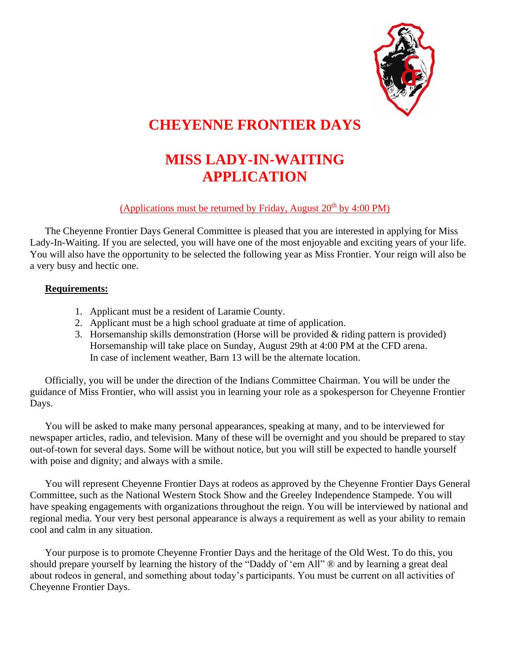

## **CHEYENNE FRONTIER DAYS**

# **MISS LADY-IN-WAITING APPLICATION**

#### (Applications must be returned by Friday, August  $20<sup>th</sup>$  by 4:00 PM)

The Cheyenne Frontier Days General Committee is pleased that you are interested in applying for Miss Lady-In-Waiting. If you are selected, you will have one of the most enjoyable and exciting years of your life. You will also have the opportunity to be selected the following year as Miss Frontier. Your reign will also be a very busy and hectic one.

#### **Requirements:**

- 1. Applicant must be a resident of Laramie County.
- 2. Applicant must be a high school graduate at time of application.
- 3. Horsemanship skills demonstration (Horse will be provided  $\&$  riding pattern is provided) Horsemanship will take place on Sunday, August 29th at 4:00 PM at the CFD arena. In case of inclement weather, Barn 13 will be the alternate location.

Officially, you will be under the direction of the Indians Committee Chairman. You will be under the guidance of Miss Frontier, who will assist you in learning your role as a spokesperson for Cheyenne Frontier Days.

You will be asked to make many personal appearances, speaking at many, and to be interviewed for newspaper articles, radio, and television. Many of these will be overnight and you should be prepared to stay out-of-town for several days. Some will be without notice, but you will still be expected to handle yourself with poise and dignity; and always with a smile.

You will represent Cheyenne Frontier Days at rodeos as approved by the Cheyenne Frontier Days General Committee, such as the National Western Stock Show and the Greeley Independence Stampede. You will have speaking engagements with organizations throughout the reign. You will be interviewed by national and regional media. Your very best personal appearance is always a requirement as well as your ability to remain cool and calm in any situation.

Your purpose is to promote Cheyenne Frontier Days and the heritage of the Old West. To do this, you should prepare yourself by learning the history of the "Daddy of 'em All" ® and by learning a great deal about rodeos in general, and something about today's participants. You must be current on all activities of Cheyenne Frontier Days.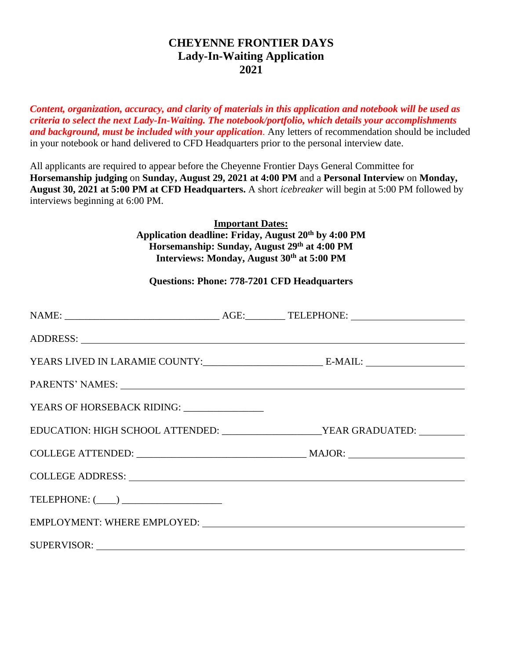### **CHEYENNE FRONTIER DAYS Lady-In-Waiting Application 2021**

*Content, organization, accuracy, and clarity of materials in this application and notebook will be used as criteria to select the next Lady-In-Waiting. The notebook/portfolio, which details your accomplishments and background, must be included with your application.* Any letters of recommendation should be included in your notebook or hand delivered to CFD Headquarters prior to the personal interview date.

All applicants are required to appear before the Cheyenne Frontier Days General Committee for **Horsemanship judging** on **Sunday, August 29, 2021 at 4:00 PM** and a **Personal Interview** on **Monday, August 30, 2021 at 5:00 PM at CFD Headquarters.** A short *icebreaker* will begin at 5:00 PM followed by interviews beginning at 6:00 PM.

> **Important Dates: Application deadline: Friday, August 20th by 4:00 PM Horsemanship: Sunday, August 29th at 4:00 PM Interviews: Monday, August 30th at 5:00 PM**

#### **Questions: Phone: 778-7201 CFD Headquarters**

| ADDRESS: New York Contract the Contract of the Contract of the Contract of the Contract of the Contract of the Contract of the Contract of the Contract of the Contract of the Contract of the Contract of the Contract of the |  |
|--------------------------------------------------------------------------------------------------------------------------------------------------------------------------------------------------------------------------------|--|
|                                                                                                                                                                                                                                |  |
| PARENTS' NAMES: LEADERSTAND AND THE SERIES OF THE SERIES OF THE SERIES OF THE SERIES OF THE SERIES OF THE SERIES OF THE SERIES OF THE SERIES OF THE SERIES OF THE SERIES OF THE SERIES OF THE SERIES OF THE SERIES OF THE SERI |  |
| YEARS OF HORSEBACK RIDING: _______________                                                                                                                                                                                     |  |
| EDUCATION: HIGH SCHOOL ATTENDED: _______________________YEAR GRADUATED: _________                                                                                                                                              |  |
|                                                                                                                                                                                                                                |  |
|                                                                                                                                                                                                                                |  |
|                                                                                                                                                                                                                                |  |
|                                                                                                                                                                                                                                |  |
| SUPERVISOR: New York Supervisors and the set of the set of the set of the set of the set of the set of the set of the set of the set of the set of the set of the set of the set of the set of the set of the set of the set o |  |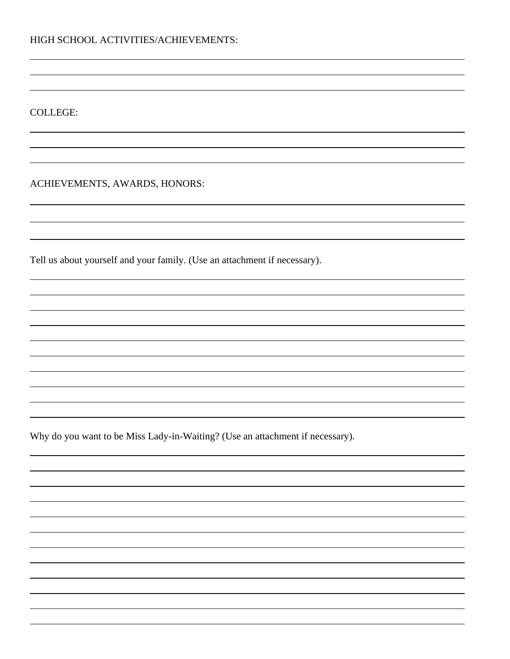COLLEGE:

ACHIEVEMENTS, AWARDS, HONORS:

Tell us about yourself and your family. (Use an attachment if necessary).

Why do you want to be Miss Lady-in-Waiting? (Use an attachment if necessary).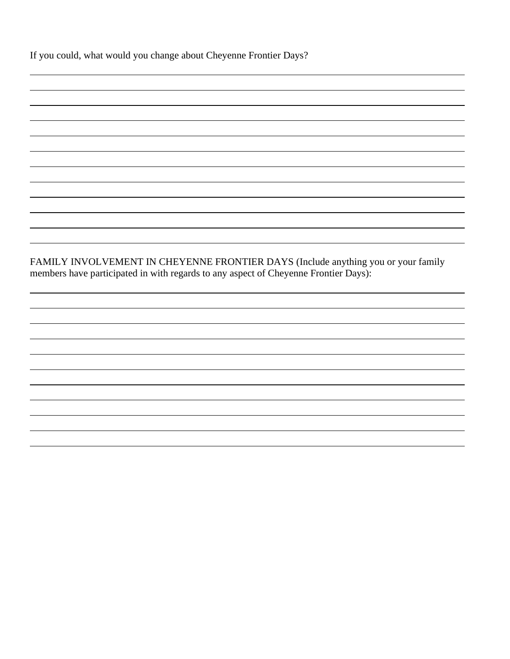FAMILY INVOLVEMENT IN CHEYENNE FRONTIER DAYS (Include anything you or your family members have participated in with regards to any aspect of Cheyenne Frontier Days):